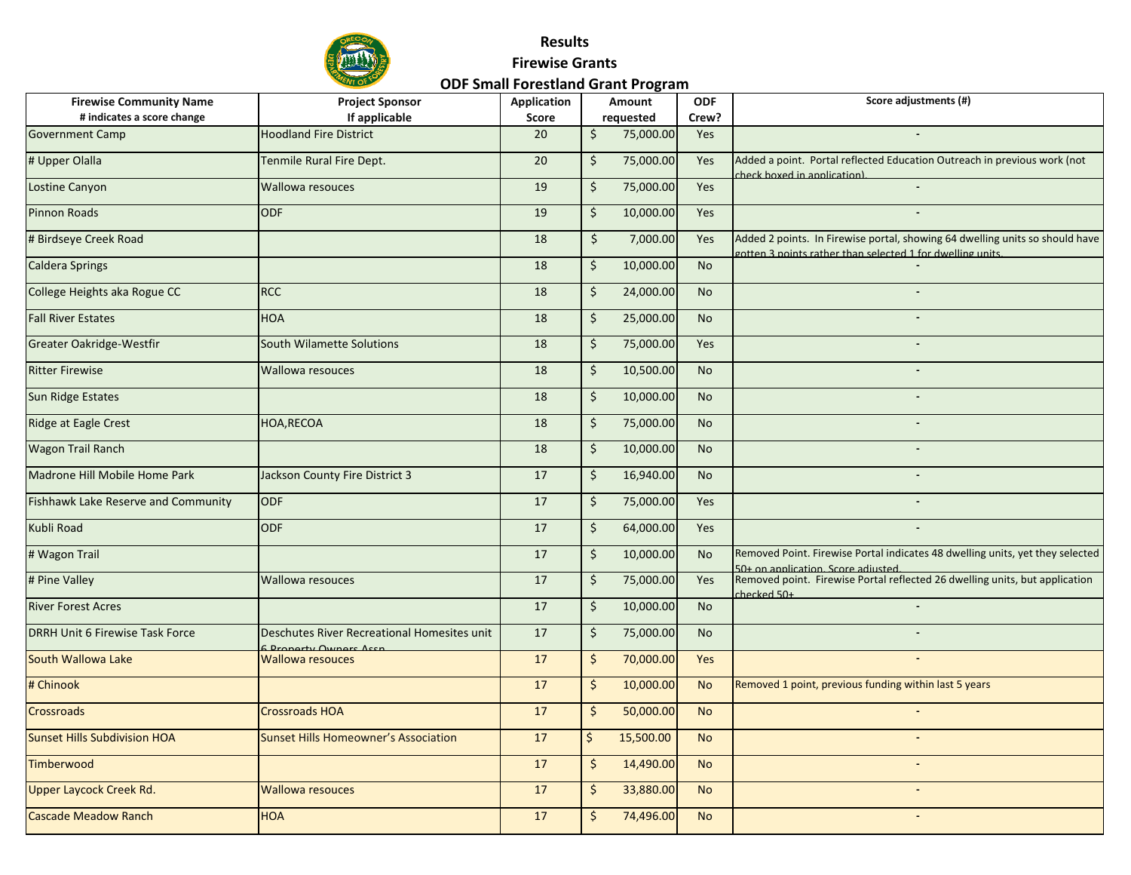

| <b>Firewise Community Name</b>         | <b>Project Sponsor</b>                                            | <b>Application</b> |         | Amount    | <b>ODF</b> | Score adjustments (#)                                                                                                                      |
|----------------------------------------|-------------------------------------------------------------------|--------------------|---------|-----------|------------|--------------------------------------------------------------------------------------------------------------------------------------------|
| # indicates a score change             | If applicable                                                     | Score              |         | requested | Crew?      |                                                                                                                                            |
| <b>Government Camp</b>                 | <b>Hoodland Fire District</b>                                     | 20                 | \$      | 75,000.00 | Yes        |                                                                                                                                            |
| # Upper Olalla                         | Tenmile Rural Fire Dept.                                          | 20                 | $\zeta$ | 75,000.00 | Yes        | Added a point. Portal reflected Education Outreach in previous work (not<br>check hoxed in annlication).                                   |
| Lostine Canyon                         | <b>Wallowa resouces</b>                                           | 19                 | \$      | 75,000.00 | Yes        |                                                                                                                                            |
| <b>Pinnon Roads</b>                    | <b>ODF</b>                                                        | 19                 | Ś.      | 10,000.00 | <b>Yes</b> |                                                                                                                                            |
| # Birdseye Creek Road                  |                                                                   | 18                 | \$      | 7,000.00  | Yes        | Added 2 points. In Firewise portal, showing 64 dwelling units so should have<br>gotten 3 points rather than selected 1 for dwelling units. |
| <b>Caldera Springs</b>                 |                                                                   | 18                 | $\zeta$ | 10,000.00 | <b>No</b>  |                                                                                                                                            |
| College Heights aka Rogue CC           | <b>RCC</b>                                                        | 18                 | \$      | 24,000.00 | <b>No</b>  | $\blacksquare$                                                                                                                             |
| <b>Fall River Estates</b>              | <b>HOA</b>                                                        | 18                 | \$      | 25,000.00 | <b>No</b>  |                                                                                                                                            |
| Greater Oakridge-Westfir               | <b>South Wilamette Solutions</b>                                  | 18                 | \$      | 75,000.00 | Yes        |                                                                                                                                            |
| <b>Ritter Firewise</b>                 | <b>Wallowa resouces</b>                                           | 18                 | $\zeta$ | 10,500.00 | <b>No</b>  | $\overline{a}$                                                                                                                             |
| Sun Ridge Estates                      |                                                                   | 18                 | $\zeta$ | 10,000.00 | <b>No</b>  |                                                                                                                                            |
| Ridge at Eagle Crest                   | HOA, RECOA                                                        | 18                 | \$      | 75,000.00 | <b>No</b>  |                                                                                                                                            |
| Wagon Trail Ranch                      |                                                                   | 18                 | \$      | 10,000.00 | <b>No</b>  |                                                                                                                                            |
| Madrone Hill Mobile Home Park          | Jackson County Fire District 3                                    | 17                 | \$      | 16,940.00 | <b>No</b>  | $\overline{a}$                                                                                                                             |
| Fishhawk Lake Reserve and Community    | <b>ODF</b>                                                        | 17                 | $\zeta$ | 75,000.00 | Yes        |                                                                                                                                            |
| Kubli Road                             | <b>ODF</b>                                                        | 17                 | \$      | 64,000.00 | Yes        |                                                                                                                                            |
| # Wagon Trail                          |                                                                   | 17                 | $\zeta$ | 10,000.00 | <b>No</b>  | Removed Point. Firewise Portal indicates 48 dwelling units, yet they selected<br>50+ on application. Score adjusted.                       |
| # Pine Valley                          | <b>Wallowa resouces</b>                                           | 17                 | \$      | 75,000.00 | Yes        | Removed point. Firewise Portal reflected 26 dwelling units, but application<br>$checked$ 50+                                               |
| <b>River Forest Acres</b>              |                                                                   | 17                 | \$      | 10,000.00 | <b>No</b>  |                                                                                                                                            |
| <b>DRRH Unit 6 Firewise Task Force</b> | Deschutes River Recreational Homesites unit<br>Draporty Owners As | 17                 | $\zeta$ | 75,000.00 | <b>No</b>  |                                                                                                                                            |
| South Wallowa Lake                     | <b>Wallowa resouces</b>                                           | 17                 | \$      | 70,000.00 | Yes        |                                                                                                                                            |
| # Chinook                              |                                                                   | 17                 | $\zeta$ | 10,000.00 | <b>No</b>  | Removed 1 point, previous funding within last 5 years                                                                                      |
| Crossroads                             | <b>Crossroads HOA</b>                                             | 17                 | \$      | 50,000.00 | <b>No</b>  |                                                                                                                                            |
| <b>Sunset Hills Subdivision HOA</b>    | <b>Sunset Hills Homeowner's Association</b>                       | 17                 | \$      | 15,500.00 | <b>No</b>  |                                                                                                                                            |
| Timberwood                             |                                                                   | 17                 | $\zeta$ | 14,490.00 | <b>No</b>  | $\blacksquare$                                                                                                                             |
| Upper Laycock Creek Rd.                | <b>Wallowa resouces</b>                                           | 17                 | \$      | 33,880.00 | <b>No</b>  |                                                                                                                                            |
| <b>Cascade Meadow Ranch</b>            | <b>HOA</b>                                                        | 17                 | Ś.      | 74,496.00 | <b>No</b>  |                                                                                                                                            |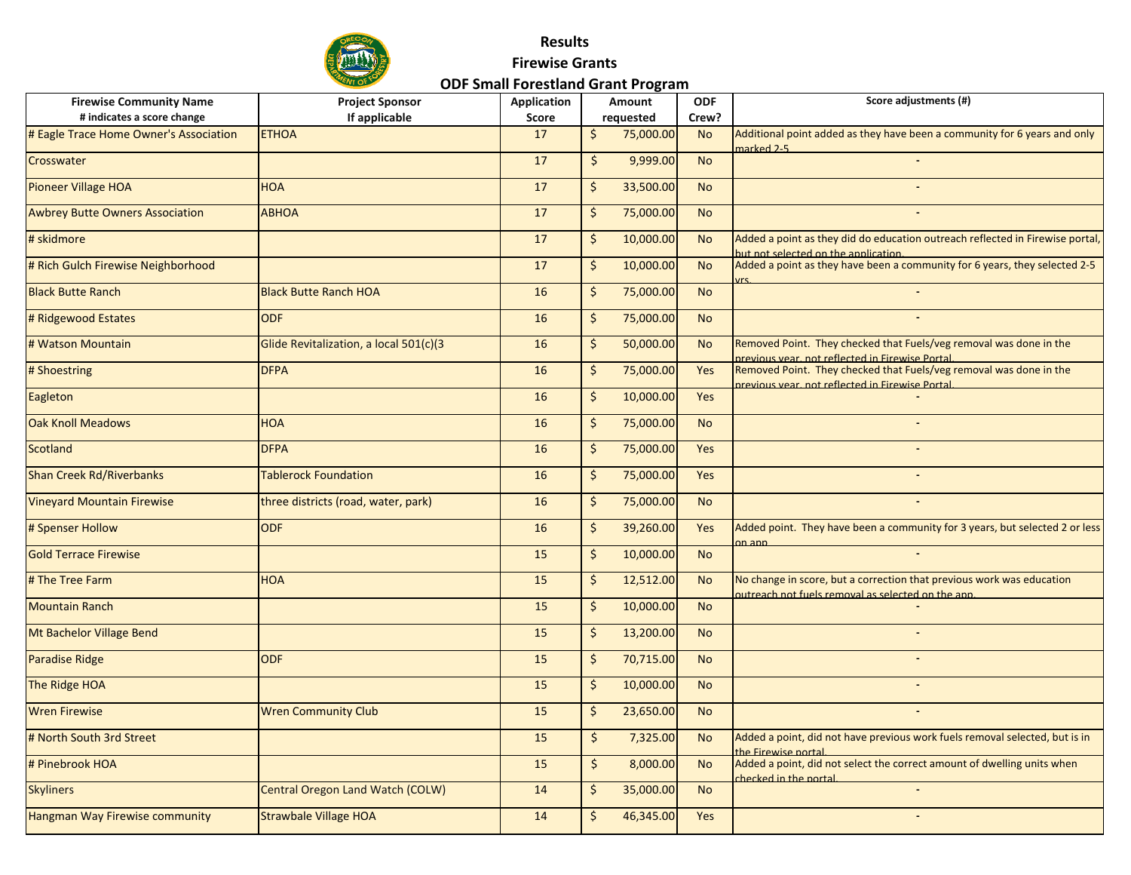

| <b>Firewise Community Name</b>         | <b>Project Sponsor</b>                 | Application | Amount                   | <b>ODF</b> | Score adjustments (#)                                                                                                      |
|----------------------------------------|----------------------------------------|-------------|--------------------------|------------|----------------------------------------------------------------------------------------------------------------------------|
| # indicates a score change             | If applicable                          | Score       | requested                | Crew?      |                                                                                                                            |
| # Eagle Trace Home Owner's Association | <b>ETHOA</b>                           | 17          | 75,000.00<br>\$          | <b>No</b>  | Additional point added as they have been a community for 6 years and only<br>marked 2-5                                    |
| Crosswater                             |                                        | 17          | \$<br>9,999.00           | <b>No</b>  |                                                                                                                            |
| <b>Pioneer Village HOA</b>             | <b>HOA</b>                             | 17          | 33,500.00<br>\$          | <b>No</b>  |                                                                                                                            |
| <b>Awbrey Butte Owners Association</b> | <b>ABHOA</b>                           | 17          | \$<br>75,000.00          | <b>No</b>  |                                                                                                                            |
| # skidmore                             |                                        | 17          | \$<br>10,000.00          | <b>No</b>  | Added a point as they did do education outreach reflected in Firewise portal,<br>but not selected on the application.      |
| # Rich Gulch Firewise Neighborhood     |                                        | 17          | $\zeta$<br>10,000.00     | <b>No</b>  | Added a point as they have been a community for 6 years, they selected 2-5                                                 |
| <b>Black Butte Ranch</b>               | <b>Black Butte Ranch HOA</b>           | 16          | 75,000.00<br>\$          | <b>No</b>  |                                                                                                                            |
| # Ridgewood Estates                    | <b>ODF</b>                             | 16          | \$<br>75,000.00          | <b>No</b>  |                                                                                                                            |
| # Watson Mountain                      | Glide Revitalization, a local 501(c)(3 | 16          | \$<br>50,000.00          | <b>No</b>  | Removed Point. They checked that Fuels/veg removal was done in the<br>previous vear, not reflected in Firewise Portal.     |
| # Shoestring                           | <b>DFPA</b>                            | 16          | 75,000.00<br>\$          | <b>Yes</b> | Removed Point. They checked that Fuels/veg removal was done in the<br>previous vear, not reflected in Firewise Portal.     |
| Eagleton                               |                                        | 16          | $\zeta$<br>10,000.00     | Yes        |                                                                                                                            |
| <b>Oak Knoll Meadows</b>               | <b>HOA</b>                             | 16          | \$<br>75,000.00          | <b>No</b>  | $\sim$                                                                                                                     |
| Scotland                               | <b>DFPA</b>                            | 16          | \$<br>75,000.00          | Yes        |                                                                                                                            |
| <b>Shan Creek Rd/Riverbanks</b>        | <b>Tablerock Foundation</b>            | 16          | 75,000.00<br>\$          | Yes        |                                                                                                                            |
| <b>Vineyard Mountain Firewise</b>      | three districts (road, water, park)    | 16          | 75,000.00<br>\$          | <b>No</b>  |                                                                                                                            |
| # Spenser Hollow                       | <b>ODF</b>                             | 16          | \$<br>39,260.00          | Yes        | Added point. They have been a community for 3 years, but selected 2 or less<br>$on$ ann                                    |
| <b>Gold Terrace Firewise</b>           |                                        | 15          | \$<br>10,000.00          | <b>No</b>  |                                                                                                                            |
| # The Tree Farm                        | <b>HOA</b>                             | 15          | \$<br>12,512.00          | <b>No</b>  | No change in score, but a correction that previous work was education<br>outreach not fuels removal as selected on the ann |
| <b>Mountain Ranch</b>                  |                                        | 15          | \$<br>10,000.00          | <b>No</b>  |                                                                                                                            |
| Mt Bachelor Village Bend               |                                        | 15          | \$<br>13,200.00          | <b>No</b>  |                                                                                                                            |
| Paradise Ridge                         | <b>ODF</b>                             | 15          | 70,715.00<br>\$          | <b>No</b>  |                                                                                                                            |
| The Ridge HOA                          |                                        | 15          | \$<br>10,000.00          | <b>No</b>  |                                                                                                                            |
| <b>Wren Firewise</b>                   | <b>Wren Community Club</b>             | 15          | \$<br>23,650.00          | <b>No</b>  |                                                                                                                            |
| # North South 3rd Street               |                                        | 15          | $\mathsf{S}$<br>7,325.00 | <b>No</b>  | Added a point, did not have previous work fuels removal selected, but is in<br>the Firewise nortal                         |
| # Pinebrook HOA                        |                                        | 15          | $\zeta$<br>8,000.00      | <b>No</b>  | Added a point, did not select the correct amount of dwelling units when<br>checked in the portal.                          |
| <b>Skyliners</b>                       | Central Oregon Land Watch (COLW)       | 14          | \$<br>35,000.00          | <b>No</b>  |                                                                                                                            |
| Hangman Way Firewise community         | <b>Strawbale Village HOA</b>           | 14          | \$<br>46,345.00          | Yes        |                                                                                                                            |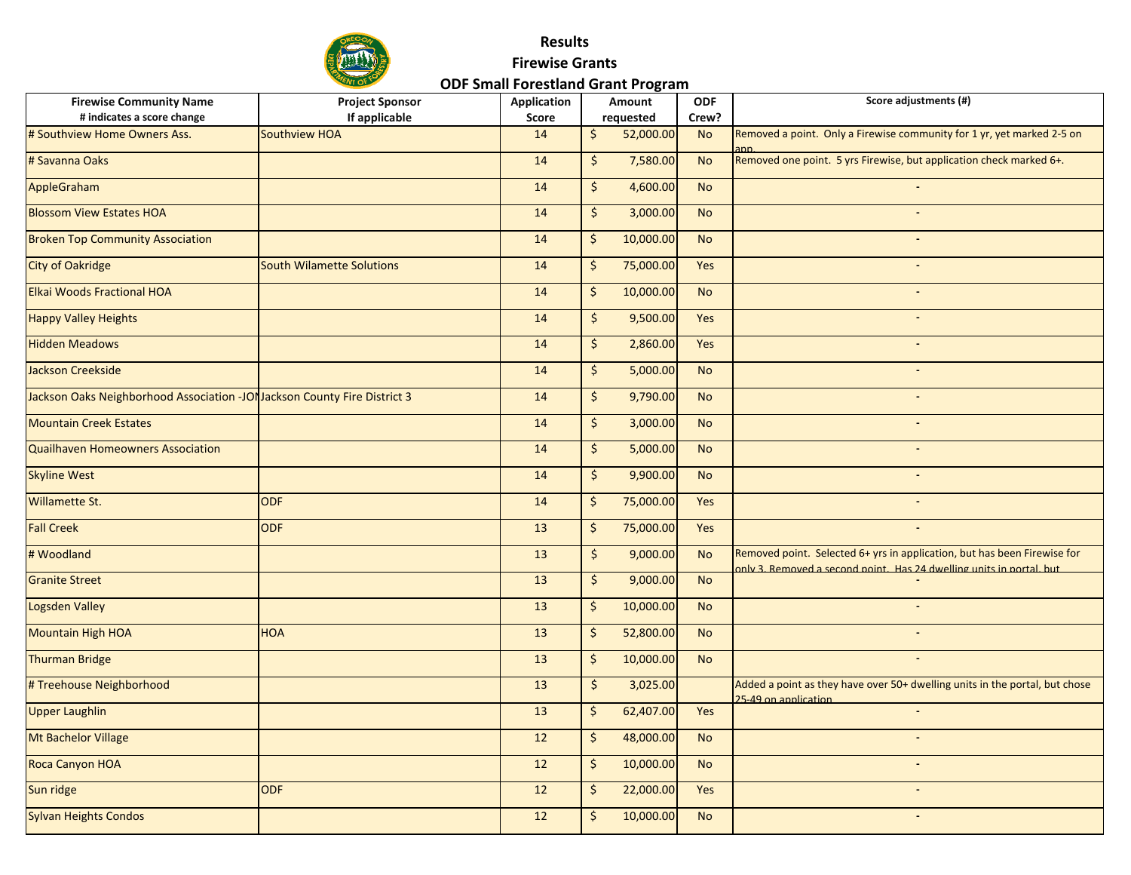

| <b>Firewise Community Name</b>                                            | <b>Project Sponsor</b>           | Application | Amount        |           | <b>ODF</b> | Score adjustments (#)                                                                                                                            |
|---------------------------------------------------------------------------|----------------------------------|-------------|---------------|-----------|------------|--------------------------------------------------------------------------------------------------------------------------------------------------|
| # indicates a score change                                                | If applicable                    | Score       |               | requested | Crew?      |                                                                                                                                                  |
| # Southview Home Owners Ass.                                              | Southview HOA                    | 14          | \$            | 52,000.00 | <b>No</b>  | Removed a point. Only a Firewise community for 1 yr, yet marked 2-5 on                                                                           |
| # Savanna Oaks                                                            |                                  | 14          | \$            | 7,580.00  | <b>No</b>  | Removed one point. 5 yrs Firewise, but application check marked 6+.                                                                              |
| AppleGraham                                                               |                                  | 14          | $\zeta$       | 4,600.00  | <b>No</b>  |                                                                                                                                                  |
| <b>Blossom View Estates HOA</b>                                           |                                  | 14          | $\frac{1}{2}$ | 3,000.00  | <b>No</b>  |                                                                                                                                                  |
| <b>Broken Top Community Association</b>                                   |                                  | 14          | \$            | 10,000.00 | <b>No</b>  |                                                                                                                                                  |
| <b>City of Oakridge</b>                                                   | <b>South Wilamette Solutions</b> | 14          | \$            | 75,000.00 | Yes        |                                                                                                                                                  |
| <b>Elkai Woods Fractional HOA</b>                                         |                                  | 14          | \$            | 10,000.00 | <b>No</b>  | $\sim$                                                                                                                                           |
| <b>Happy Valley Heights</b>                                               |                                  | 14          | $\frac{1}{2}$ | 9,500.00  | Yes        |                                                                                                                                                  |
| <b>Hidden Meadows</b>                                                     |                                  | 14          | $\frac{1}{2}$ | 2,860.00  | Yes        | $\blacksquare$                                                                                                                                   |
| Jackson Creekside                                                         |                                  | 14          | \$            | 5,000.00  | No         |                                                                                                                                                  |
| Jackson Oaks Neighborhood Association -JON Jackson County Fire District 3 |                                  | 14          | $\frac{1}{2}$ | 9,790.00  | <b>No</b>  |                                                                                                                                                  |
| <b>Mountain Creek Estates</b>                                             |                                  | 14          | \$            | 3,000.00  | <b>No</b>  |                                                                                                                                                  |
| <b>Quailhaven Homeowners Association</b>                                  |                                  | 14          | $\frac{1}{2}$ | 5,000.00  | <b>No</b>  |                                                                                                                                                  |
| <b>Skyline West</b>                                                       |                                  | 14          | $\mathsf{S}$  | 9,900.00  | <b>No</b>  |                                                                                                                                                  |
| Willamette St.                                                            | <b>ODF</b>                       | 14          | \$            | 75,000.00 | Yes        |                                                                                                                                                  |
| <b>Fall Creek</b>                                                         | <b>ODF</b>                       | 13          | \$            | 75,000.00 | Yes        |                                                                                                                                                  |
| # Woodland                                                                |                                  | 13          | $\frac{1}{2}$ | 9,000.00  | <b>No</b>  | Removed point. Selected 6+ yrs in application, but has been Firewise for<br>only 3. Removed a second point. Has 24 dwelling units in portal, but |
| <b>Granite Street</b>                                                     |                                  | 13          | $\zeta$       | 9,000.00  | <b>No</b>  |                                                                                                                                                  |
| <b>Logsden Valley</b>                                                     |                                  | 13          | \$            | 10,000.00 | <b>No</b>  |                                                                                                                                                  |
| <b>Mountain High HOA</b>                                                  | <b>HOA</b>                       | 13          | \$            | 52,800.00 | <b>No</b>  |                                                                                                                                                  |
| <b>Thurman Bridge</b>                                                     |                                  | 13          | \$            | 10,000.00 | <b>No</b>  |                                                                                                                                                  |
| # Treehouse Neighborhood                                                  |                                  | 13          | $\zeta$       | 3,025.00  |            | Added a point as they have over 50+ dwelling units in the portal, but chose<br>25-49 on application                                              |
| <b>Upper Laughlin</b>                                                     |                                  | 13          | \$            | 62,407.00 | Yes        |                                                                                                                                                  |
| Mt Bachelor Village                                                       |                                  | 12          | \$            | 48,000.00 | <b>No</b>  |                                                                                                                                                  |
| Roca Canyon HOA                                                           |                                  | 12          | $\zeta$       | 10,000.00 | <b>No</b>  |                                                                                                                                                  |
| Sun ridge                                                                 | <b>ODF</b>                       | 12          | \$            | 22,000.00 | Yes        |                                                                                                                                                  |
| <b>Sylvan Heights Condos</b>                                              |                                  | 12          | \$            | 10,000.00 | <b>No</b>  |                                                                                                                                                  |